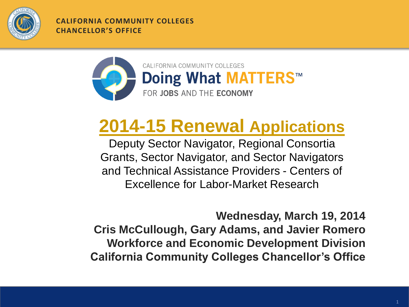

**CALIFORNIA COMMUNITY COLLEGES CHANCELLOR'S OFFICE**



### **[2014-15 Renewal](http://extranet.cccco.edu/Divisions/WorkforceandEconDev/WEDDRFAs/RFARenewals.aspx) [Applications](http://extranet.cccco.edu/Divisions/WorkforceandEconDev/WEDDRFAs/RFARenewals.aspx)**

Deputy Sector Navigator, Regional Consortia Grants, Sector Navigator, and Sector Navigators and Technical Assistance Providers - Centers of Excellence for Labor-Market Research

**Wednesday, March 19, 2014 Cris McCullough, Gary Adams, and Javier Romero Workforce and Economic Development Division California Community Colleges Chancellor's Office**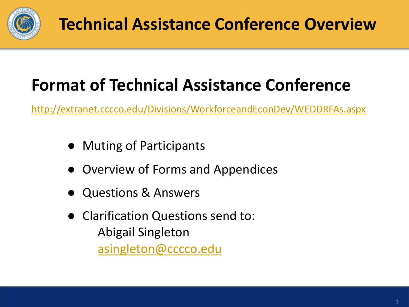

### **Format of Technical Assistance Conference**

<http://extranet.cccco.edu/Divisions/WorkforceandEconDev/WEDDRFAs.aspx>

- **Muting of Participants**
- Overview of Forms and Appendices
- Questions & Answers
- Clarification Questions send to: Abigail Singleton [asingleton@cccco.edu](mailto:asingleton@cccco.edu)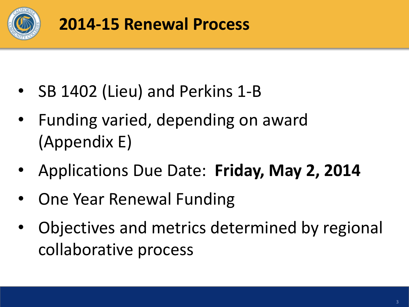

- SB 1402 (Lieu) and Perkins 1-B
- Funding varied, depending on award (Appendix E)
- Applications Due Date: **Friday, May 2, 2014**
- One Year Renewal Funding
- Objectives and metrics determined by regional collaborative process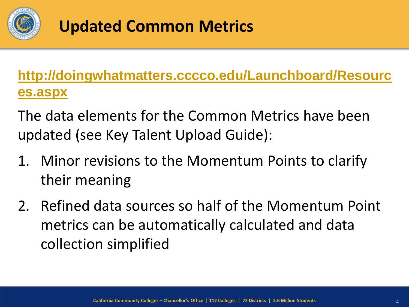

#### **Updated Common Metrics**

**[http://doingwhatmatters.cccco.edu/Launchboard/Resourc](http://doingwhatmatters.cccco.edu/Launchboard/Resources.aspx) [es.aspx](http://doingwhatmatters.cccco.edu/Launchboard/Resources.aspx)**

The data elements for the Common Metrics have been updated (see Key Talent Upload Guide):

- 1. Minor revisions to the Momentum Points to clarify their meaning
- 2. Refined data sources so half of the Momentum Point metrics can be automatically calculated and data collection simplified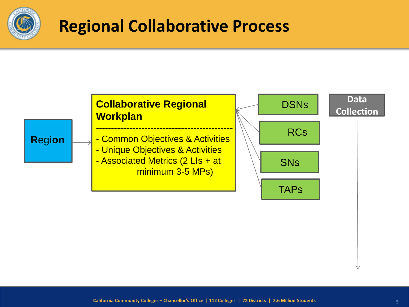

#### **Regional Collaborative Process**

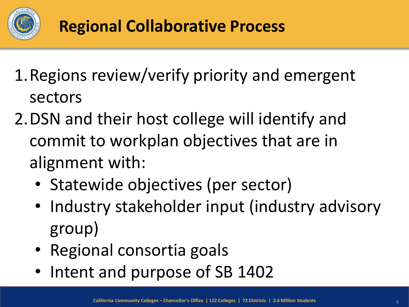

- 1.Regions review/verify priority and emergent sectors
- 2.DSN and their host college will identify and commit to workplan objectives that are in alignment with:
	- Statewide objectives (per sector)
	- Industry stakeholder input (industry advisory group)
	- Regional consortia goals
	- Intent and purpose of SB 1402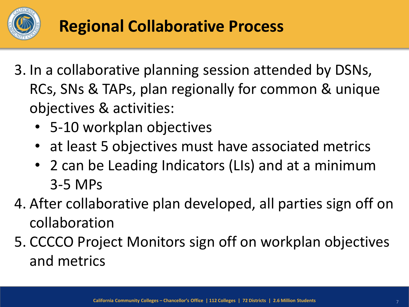

- 3. In a collaborative planning session attended by DSNs, RCs, SNs & TAPs, plan regionally for common & unique objectives & activities:
	- 5-10 workplan objectives
	- at least 5 objectives must have associated metrics
	- 2 can be Leading Indicators (LIs) and at a minimum 3-5 MPs
- 4. After collaborative plan developed, all parties sign off on collaboration
- 5. CCCCO Project Monitors sign off on workplan objectives and metrics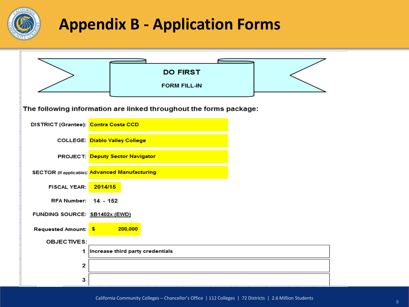

#### **Appendix B - Application Forms**

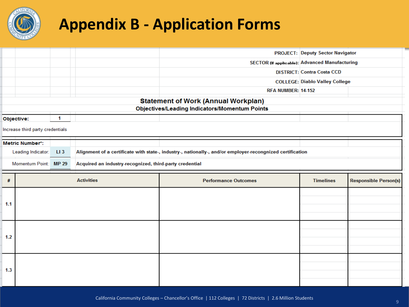

#### **Appendix B - Application Forms**

|                                                      |                        |                 |                                                                                                           |                                                       | <b>PROJECT: Deputy Sector Navigator</b> |                              |  |
|------------------------------------------------------|------------------------|-----------------|-----------------------------------------------------------------------------------------------------------|-------------------------------------------------------|-----------------------------------------|------------------------------|--|
|                                                      |                        |                 |                                                                                                           | <b>SECTOR (If applicable): Advanced Manufacturing</b> |                                         |                              |  |
|                                                      |                        |                 |                                                                                                           |                                                       | <b>DISTRICT: Contra Costa CCD</b>       |                              |  |
|                                                      |                        |                 |                                                                                                           |                                                       | <b>COLLEGE: Diablo Valley College</b>   |                              |  |
|                                                      |                        |                 |                                                                                                           | <b>RFA NUMBER: 14-152</b>                             |                                         |                              |  |
| <b>Statement of Work (Annual Workplan)</b>           |                        |                 |                                                                                                           |                                                       |                                         |                              |  |
| <b>Objectives/Leading Indicators/Momentum Points</b> |                        |                 |                                                                                                           |                                                       |                                         |                              |  |
|                                                      | Objective:             | 1               |                                                                                                           |                                                       |                                         |                              |  |
| Increase third party credentials                     |                        |                 |                                                                                                           |                                                       |                                         |                              |  |
|                                                      | <b>Metric Number*:</b> |                 |                                                                                                           |                                                       |                                         |                              |  |
| Leading Indicator:                                   |                        | LI <sub>3</sub> | Alignment of a certificate with state-, industry-, nationally-, and/or employer-recongnized certification |                                                       |                                         |                              |  |
| Momentum Point:                                      |                        | <b>MP 29</b>    | Acquired an industry-recognized, third-party credential                                                   |                                                       |                                         |                              |  |
|                                                      |                        |                 |                                                                                                           |                                                       |                                         |                              |  |
|                                                      |                        |                 | <b>Activities</b>                                                                                         | <b>Performance Outcomes</b>                           | <b>Timelines</b>                        | <b>Responsible Person(s)</b> |  |
| #                                                    |                        |                 |                                                                                                           |                                                       |                                         |                              |  |
|                                                      |                        |                 |                                                                                                           |                                                       |                                         |                              |  |
|                                                      |                        |                 |                                                                                                           |                                                       |                                         |                              |  |
| 1.1                                                  |                        |                 |                                                                                                           |                                                       |                                         |                              |  |
|                                                      |                        |                 |                                                                                                           |                                                       |                                         |                              |  |
|                                                      |                        |                 |                                                                                                           |                                                       |                                         |                              |  |
| 1.2                                                  |                        |                 |                                                                                                           |                                                       |                                         |                              |  |
|                                                      |                        |                 |                                                                                                           |                                                       |                                         |                              |  |
|                                                      |                        |                 |                                                                                                           |                                                       |                                         |                              |  |
|                                                      |                        |                 |                                                                                                           |                                                       |                                         |                              |  |
| 1.3                                                  |                        |                 |                                                                                                           |                                                       |                                         |                              |  |
|                                                      |                        |                 |                                                                                                           |                                                       |                                         |                              |  |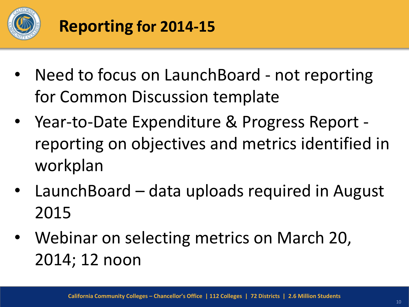

- Need to focus on LaunchBoard not reporting for Common Discussion template
- Year-to-Date Expenditure & Progress Report reporting on objectives and metrics identified in workplan
- LaunchBoard data uploads required in August 2015
- Webinar on selecting metrics on March 20, 2014; 12 noon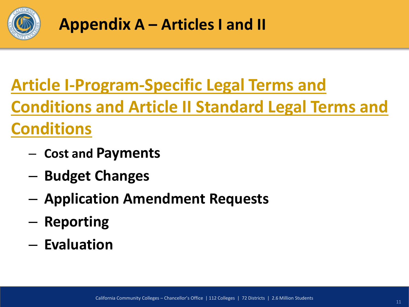

### **[Article I-Program-Specific Legal Terms and](http://extranet.cccco.edu/Portals/1/WED/WEDDRFA/Renewal-SN-RC-DSN/AppA-ArticleI-and-ArticleII--SN-DSN-TAPCOE-RC-Rev-3-14-14.pdf)**

**[Conditions and Article II Standard Legal Terms and](http://extranet.cccco.edu/Portals/1/WED/WEDDRFA/Renewal-SN-RC-DSN/AppA-ArticleI-and-ArticleII--SN-DSN-TAPCOE-RC-Rev-3-14-14.pdf)** 

#### **[Conditions](http://extranet.cccco.edu/Portals/1/WED/WEDDRFA/Renewal-SN-RC-DSN/AppA-ArticleI-and-ArticleII--SN-DSN-TAPCOE-RC-Rev-3-14-14.pdf)**

- **Cost and Payments**
- **Budget Changes**
- **Application Amendment Requests**
- **Reporting**
- **Evaluation**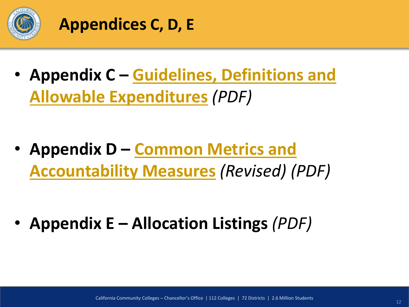

#### **Appendices C, D, E**

• **Appendix C – [Guidelines, Definitions and](http://extranet.cccco.edu/Portals/1/WED/WEDDRFA/Renewal-SN-RC-DSN/AppC-Guidelines-Definitions--AllowableExpendituresforEWDP.pdf)  [Allowable Expenditures](http://extranet.cccco.edu/Portals/1/WED/WEDDRFA/Renewal-SN-RC-DSN/AppC-Guidelines-Definitions--AllowableExpendituresforEWDP.pdf)** *(PDF)*

• **Appendix D – [Common Metrics and](http://extranet.cccco.edu/Portals/1/WED/WEDDRFA/Renewal-SN-RC-DSN/AppD-CommonMetrics-SN-DSN-TAPCOE-RC.pdf)  [Accountability Measures](http://extranet.cccco.edu/Portals/1/WED/WEDDRFA/Renewal-SN-RC-DSN/AppD-CommonMetrics-SN-DSN-TAPCOE-RC.pdf)** *(Revised) (PDF)*

• **Appendix E – Allocation Listings** *(PDF)*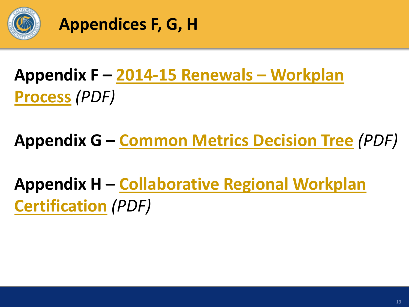

**Appendices F, G, H**

## **Appendix F – [2014-15 Renewals](http://extranet.cccco.edu/Portals/1/WED/WEDDRFA/Renewal-SN-RC-DSN/AppF-WorkplanProcess-2014-15-SN-DSN-TAPCOE-RC.pdf) [–](http://extranet.cccco.edu/Portals/1/WED/WEDDRFA/Renewal-SN-RC-DSN/AppF-WorkplanProcess-2014-15-SN-DSN-TAPCOE-RC.pdf) [Workplan](http://extranet.cccco.edu/Portals/1/WED/WEDDRFA/Renewal-SN-RC-DSN/AppF-WorkplanProcess-2014-15-SN-DSN-TAPCOE-RC.pdf)  [Process](http://extranet.cccco.edu/Portals/1/WED/WEDDRFA/Renewal-SN-RC-DSN/AppF-WorkplanProcess-2014-15-SN-DSN-TAPCOE-RC.pdf)** *(PDF)*

**Appendix G – [Common Metrics Decision Tree](http://extranet.cccco.edu/Portals/1/WED/WEDDRFA/Renewal-SN-RC-DSN/AppG-CommonMetricsDecisionTree.pdf)** *(PDF)*

**Appendix H – [Collaborative Regional Workplan](http://extranet.cccco.edu/Portals/1/WED/WEDDRFA/Renewal-SN-RC-DSN/AppH-CollaborativeRegionalWorkplanCertification.pdf)  [Certification](http://extranet.cccco.edu/Portals/1/WED/WEDDRFA/Renewal-SN-RC-DSN/AppH-CollaborativeRegionalWorkplanCertification.pdf)** *(PDF)*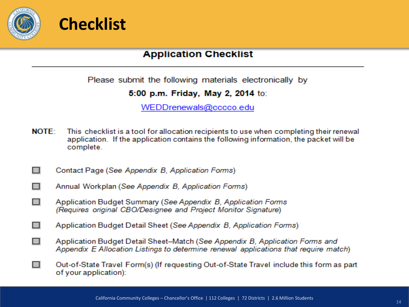



#### **Application Checklist**

Please submit the following materials electronically by

5:00 p.m. Friday, May 2, 2014 to:

WEDDrenewals@cccco.edu

- **NOTE:** This checklist is a tool for allocation recipients to use when completing their renewal application. If the application contains the following information, the packet will be complete.
- П Contact Page (See Appendix B. Application Forms)
- П Annual Workplan (See Appendix B. Application Forms)
- $\Box$ Application Budget Summary (See Appendix B, Application Forms (Requires original CBO/Designee and Project Monitor Signature)
- Application Budget Detail Sheet (See Appendix B, Application Forms)  $\Box$
- $\Box$ Application Budget Detail Sheet-Match (See Appendix B. Application Forms and Appendix E Allocation Listings to determine renewal applications that require match)
- Out-of-State Travel Form(s) (If requesting Out-of-State Travel include this form as part  $\Box$ of your application):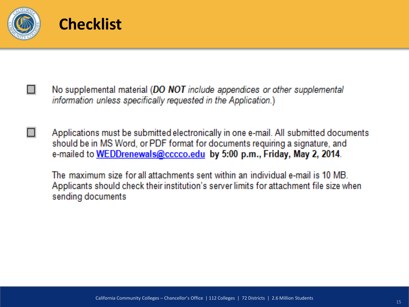



- No supplemental material (DO NOT include appendices or other supplemental information unless specifically requested in the Application.)
- Applications must be submitted electronically in one e-mail. All submitted documents should be in MS Word, or PDF format for documents requiring a signature, and e-mailed to WEDDrenewals@cccco.edu by 5:00 p.m., Friday, May 2, 2014.

The maximum size for all attachments sent within an individual e-mail is 10 MB. Applicants should check their institution's server limits for attachment file size when sending documents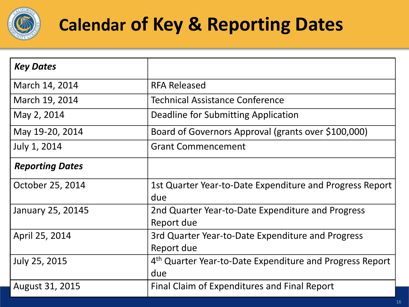

## **Calendar of Key & Reporting Dates**

| <b>Key Dates</b>       |                                                                 |
|------------------------|-----------------------------------------------------------------|
| March 14, 2014         | <b>RFA Released</b>                                             |
| March 19, 2014         | <b>Technical Assistance Conference</b>                          |
| May 2, 2014            | Deadline for Submitting Application                             |
| May 19-20, 2014        | Board of Governors Approval (grants over \$100,000)             |
| July 1, 2014           | <b>Grant Commencement</b>                                       |
| <b>Reporting Dates</b> |                                                                 |
| October 25, 2014       | 1st Quarter Year-to-Date Expenditure and Progress Report<br>due |
| January 25, 20145      | 2nd Quarter Year-to-Date Expenditure and Progress<br>Report due |
| April 25, 2014         | 3rd Quarter Year-to-Date Expenditure and Progress<br>Report due |
| July 25, 2015          | 4th Quarter Year-to-Date Expenditure and Progress Report<br>due |
| August 31, 2015        | Final Claim of Expenditures and Final Report                    |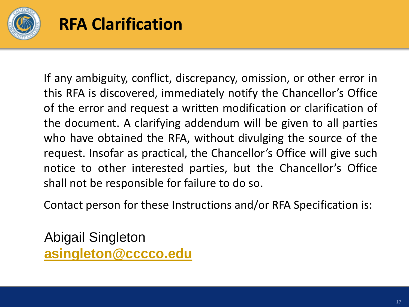

#### **RFA Clarification**

If any ambiguity, conflict, discrepancy, omission, or other error in this RFA is discovered, immediately notify the Chancellor's Office of the error and request a written modification or clarification of the document. A clarifying addendum will be given to all parties who have obtained the RFA, without divulging the source of the request. Insofar as practical, the Chancellor's Office will give such notice to other interested parties, but the Chancellor's Office shall not be responsible for failure to do so.

Contact person for these Instructions and/or RFA Specification is:

Abigail Singleton **[asingleton@cccco.edu](mailto:asingleton@cccco.edu)**